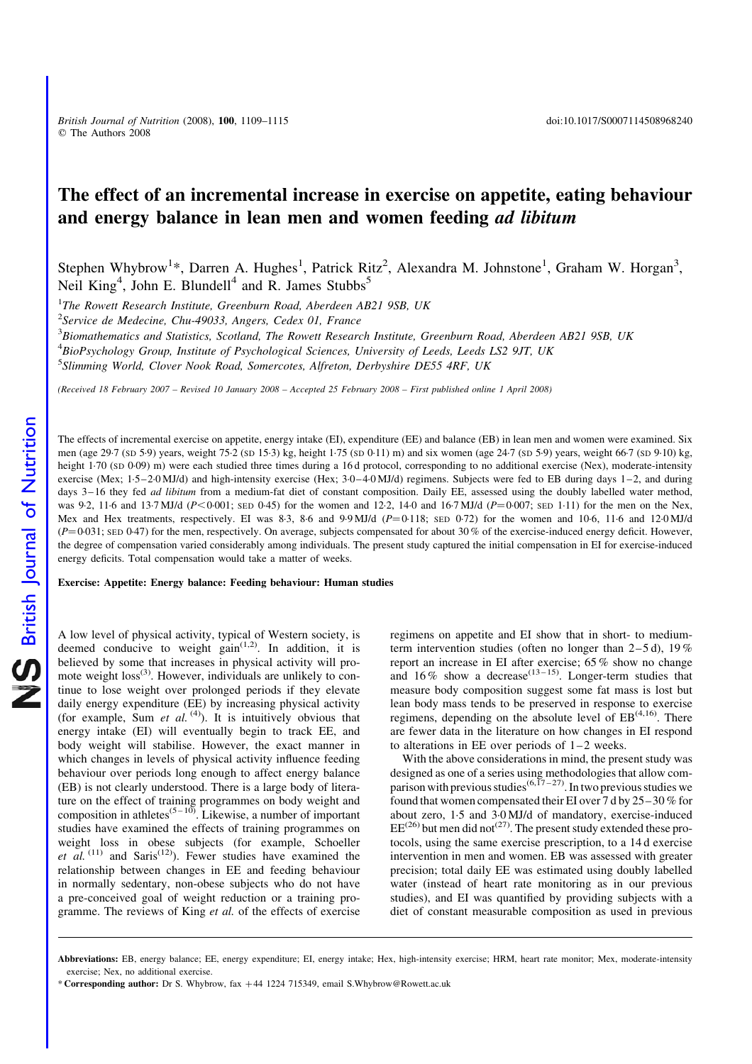British Journal of Nutrition (2008), 100, 1109-1115 doi:10.1017/S0007114508968240 q The Authors 2008

# The effect of an incremental increase in exercise on appetite, eating behaviour and energy balance in lean men and women feeding ad libitum

Stephen Whybrow<sup>1\*</sup>, Darren A. Hughes<sup>1</sup>, Patrick Ritz<sup>2</sup>, Alexandra M. Johnstone<sup>1</sup>, Graham W. Horgan<sup>3</sup>, Neil King<sup>4</sup>, John E. Blundell<sup>4</sup> and R. James Stubbs<sup>5</sup>

 $1$ The Rowett Research Institute, Greenburn Road, Aberdeen AB21 9SB, UK

 $2$ Service de Medecine, Chu-49033, Angers, Cedex 01, France

 $^3$ Biomathematics and Statistics, Scotland, The Rowett Research Institute, Greenburn Road, Aberdeen AB21 9SB, UK

<sup>4</sup>BioPsychology Group, Institute of Psychological Sciences, University of Leeds, Leeds LS2 9JT, UK

<sup>5</sup>Slimming World, Clover Nook Road, Somercotes, Alfreton, Derbyshire DE55 4RF, UK

(Received 18 February 2007 – Revised 10 January 2008 – Accepted 25 February 2008 – First published online 1 April 2008)

The effects of incremental exercise on appetite, energy intake (EI), expenditure (EE) and balance (EB) in lean men and women were examined. Six men (age 29·7 (SD 5·9) years, weight 75·2 (SD 15·3) kg, height 1·75 (SD 0·11) m) and six women (age 24·7 (SD 5·9) years, weight 66·7 (SD 9·10) kg, height 1.70 (SD 0.09) m) were each studied three times during a 16 d protocol, corresponding to no additional exercise (Nex), moderate-intensity exercise (Mex; 1·5–2·0 MJ/d) and high-intensity exercise (Hex; 3·0–4·0 MJ/d) regimens. Subjects were fed to EB during days 1–2, and during days 3-16 they fed *ad libitum* from a medium-fat diet of constant composition. Daily EE, assessed using the doubly labelled water method, was 9.2, 11.6 and 13.7 MJ/d ( $P < 0.001$ ; SED 0.45) for the women and 12.2, 14.0 and 16.7 MJ/d ( $P = 0.007$ ; SED 1.11) for the men on the Nex, Mex and Hex treatments, respectively. EI was 8.3, 8.6 and 9.9 MJ/d  $(P=0.118;$  sep 0.72) for the women and 10.6, 11.6 and 12:0 MJ/d  $(P=0.031;$  SED 0.47) for the men, respectively. On average, subjects compensated for about 30 % of the exercise-induced energy deficit. However, the degree of compensation varied considerably among individuals. The present study captured the initial compensation in EI for exercise-induced energy deficits. Total compensation would take a matter of weeks.

Exercise: Appetite: Energy balance: Feeding behaviour: Human studies

A low level of physical activity, typical of Western society, is deemed conducive to weight  $\sin^{(1,2)}$ . In addition, it is believed by some that increases in physical activity will promote weight  $loss^{(3)}$ . However, individuals are unlikely to continue to lose weight over prolonged periods if they elevate daily energy expenditure (EE) by increasing physical activity (for example, Sum et al.  $(4)$ ). It is intuitively obvious that energy intake (EI) will eventually begin to track EE, and body weight will stabilise. However, the exact manner in which changes in levels of physical activity influence feeding behaviour over periods long enough to affect energy balance (EB) is not clearly understood. There is a large body of literature on the effect of training programmes on body weight and composition in athletes<sup>(5-10)</sup>. Likewise, a number of important studies have examined the effects of training programmes on weight loss in obese subjects (for example, Schoeller et al.  $(11)$  and Saris<sup> $(12)$ </sup>). Fewer studies have examined the relationship between changes in EE and feeding behaviour in normally sedentary, non-obese subjects who do not have a pre-conceived goal of weight reduction or a training programme. The reviews of King et al. of the effects of exercise regimens on appetite and EI show that in short- to mediumterm intervention studies (often no longer than  $2-5d$ ), 19% report an increase in EI after exercise; 65 % show no change and 16% show a decrease<sup>(13-15)</sup>. Longer-term studies that measure body composition suggest some fat mass is lost but lean body mass tends to be preserved in response to exercise regimens, depending on the absolute level of  $EB^{(4,16)}$ . There are fewer data in the literature on how changes in EI respond to alterations in EE over periods of 1–2 weeks.

With the above considerations in mind, the present study was designed as one of a series using methodologies that allow comparison with previous studies<sup>(6,17-27)</sup>. In two previous studies we found that women compensated their EI over 7 d by 25–30 % for about zero, 1·5 and 3·0 MJ/d of mandatory, exercise-induced  $EE^{(26)}$  but men did not<sup>(27)</sup>. The present study extended these protocols, using the same exercise prescription, to a 14 d exercise intervention in men and women. EB was assessed with greater precision; total daily EE was estimated using doubly labelled water (instead of heart rate monitoring as in our previous studies), and EI was quantified by providing subjects with a diet of constant measurable composition as used in previous

Abbreviations: EB, energy balance; EE, energy expenditure; EI, energy intake; Hex, high-intensity exercise; HRM, heart rate monitor; Mex, moderate-intensity exercise; Nex, no additional exercise.

<sup>\*</sup> Corresponding author: Dr S. Whybrow, fax +44 1224 715349, email S.Whybrow@Rowett.ac.uk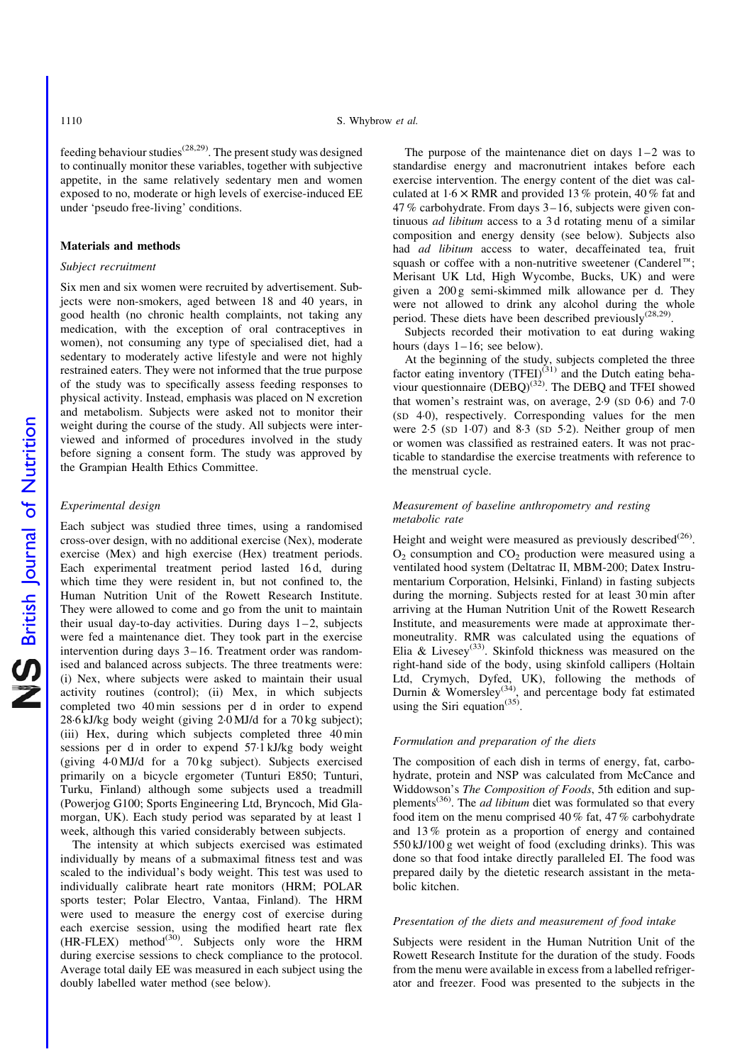feeding behaviour studies<sup> $(28,29)$ </sup>. The present study was designed to continually monitor these variables, together with subjective appetite, in the same relatively sedentary men and women exposed to no, moderate or high levels of exercise-induced EE under 'pseudo free-living' conditions.

#### Materials and methods

#### Subject recruitment

Six men and six women were recruited by advertisement. Subjects were non-smokers, aged between 18 and 40 years, in good health (no chronic health complaints, not taking any medication, with the exception of oral contraceptives in women), not consuming any type of specialised diet, had a sedentary to moderately active lifestyle and were not highly restrained eaters. They were not informed that the true purpose of the study was to specifically assess feeding responses to physical activity. Instead, emphasis was placed on N excretion and metabolism. Subjects were asked not to monitor their weight during the course of the study. All subjects were interviewed and informed of procedures involved in the study before signing a consent form. The study was approved by the Grampian Health Ethics Committee.

#### Experimental design

Each subject was studied three times, using a randomised cross-over design, with no additional exercise (Nex), moderate exercise (Mex) and high exercise (Hex) treatment periods. Each experimental treatment period lasted 16 d, during which time they were resident in, but not confined to, the Human Nutrition Unit of the Rowett Research Institute. They were allowed to come and go from the unit to maintain their usual day-to-day activities. During days  $1-2$ , subjects were fed a maintenance diet. They took part in the exercise intervention during days 3–16. Treatment order was randomised and balanced across subjects. The three treatments were: (i) Nex, where subjects were asked to maintain their usual activity routines (control); (ii) Mex, in which subjects completed two 40 min sessions per d in order to expend 28·6 kJ/kg body weight (giving 2·0 MJ/d for a 70 kg subject); (iii) Hex, during which subjects completed three 40 min sessions per d in order to expend 57·1 kJ/kg body weight (giving 4·0 MJ/d for a 70 kg subject). Subjects exercised primarily on a bicycle ergometer (Tunturi E850; Tunturi, Turku, Finland) although some subjects used a treadmill (Powerjog G100; Sports Engineering Ltd, Bryncoch, Mid Glamorgan, UK). Each study period was separated by at least 1 week, although this varied considerably between subjects.

The intensity at which subjects exercised was estimated individually by means of a submaximal fitness test and was scaled to the individual's body weight. This test was used to individually calibrate heart rate monitors (HRM; POLAR sports tester; Polar Electro, Vantaa, Finland). The HRM were used to measure the energy cost of exercise during each exercise session, using the modified heart rate flex  $(HR-FLEX)$  method<sup>(30)</sup>. Subjects only wore the HRM during exercise sessions to check compliance to the protocol. Average total daily EE was measured in each subject using the doubly labelled water method (see below).

The purpose of the maintenance diet on days  $1-2$  was to standardise energy and macronutrient intakes before each exercise intervention. The energy content of the diet was calculated at  $1.6 \times$  RMR and provided 13% protein, 40% fat and 47 % carbohydrate. From days 3–16, subjects were given continuous ad libitum access to a 3 d rotating menu of a similar composition and energy density (see below). Subjects also had ad libitum access to water, decaffeinated tea, fruit squash or coffee with a non-nutritive sweetener (Canderel<sup>TM</sup>; Merisant UK Ltd, High Wycombe, Bucks, UK) and were given a 200 g semi-skimmed milk allowance per d. They were not allowed to drink any alcohol during the whole period. These diets have been described previously<sup>(28,29)</sup>.

Subjects recorded their motivation to eat during waking hours (days  $1-16$ ; see below).

At the beginning of the study, subjects completed the three factor eating inventory  $(TFEI)^{(31)}$  and the Dutch eating behaviour questionnaire  $(DEBO)^{(32)}$ . The DEBQ and TFEI showed that women's restraint was, on average, 2·9 (SD 0·6) and 7·0 (SD 4·0), respectively. Corresponding values for the men were  $2.5$  (SD  $1.07$ ) and  $8.3$  (SD  $5.2$ ). Neither group of men or women was classified as restrained eaters. It was not practicable to standardise the exercise treatments with reference to the menstrual cycle.

# Measurement of baseline anthropometry and resting metabolic rate

Height and weight were measured as previously described<sup>(26)</sup>.  $O<sub>2</sub>$  consumption and  $CO<sub>2</sub>$  production were measured using a ventilated hood system (Deltatrac II, MBM-200; Datex Instrumentarium Corporation, Helsinki, Finland) in fasting subjects during the morning. Subjects rested for at least 30 min after arriving at the Human Nutrition Unit of the Rowett Research Institute, and measurements were made at approximate thermoneutrality. RMR was calculated using the equations of Elia & Livesey(33). Skinfold thickness was measured on the right-hand side of the body, using skinfold callipers (Holtain Ltd, Crymych, Dyfed, UK), following the methods of Durnin & Womersley<sup>(34)</sup>, and percentage body fat estimated using the Siri equation<sup>(35)</sup>.

#### Formulation and preparation of the diets

The composition of each dish in terms of energy, fat, carbohydrate, protein and NSP was calculated from McCance and Widdowson's The Composition of Foods, 5th edition and supplements<sup>(36)</sup>. The *ad libitum* diet was formulated so that every food item on the menu comprised 40 % fat, 47 % carbohydrate and 13 % protein as a proportion of energy and contained 550 kJ/100 g wet weight of food (excluding drinks). This was done so that food intake directly paralleled EI. The food was prepared daily by the dietetic research assistant in the metabolic kitchen.

#### Presentation of the diets and measurement of food intake

Subjects were resident in the Human Nutrition Unit of the Rowett Research Institute for the duration of the study. Foods from the menu were available in excess from a labelled refrigerator and freezer. Food was presented to the subjects in the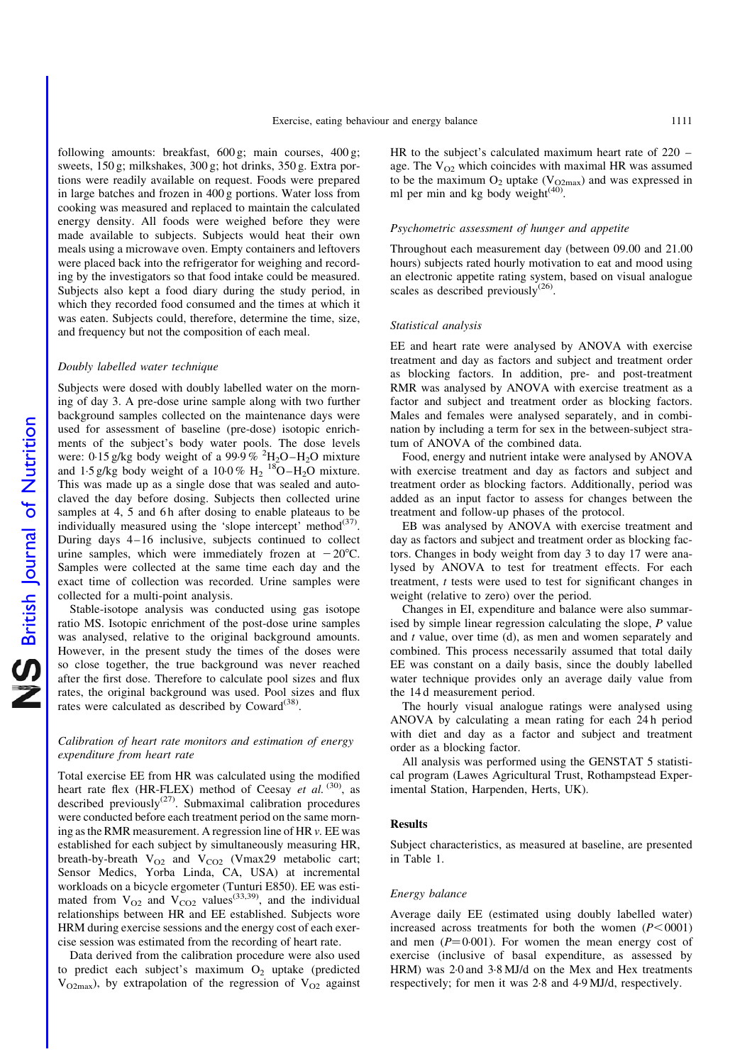following amounts: breakfast, 600 g; main courses, 400 g; sweets, 150 g; milkshakes, 300 g; hot drinks, 350 g. Extra portions were readily available on request. Foods were prepared in large batches and frozen in 400 g portions. Water loss from cooking was measured and replaced to maintain the calculated energy density. All foods were weighed before they were made available to subjects. Subjects would heat their own meals using a microwave oven. Empty containers and leftovers were placed back into the refrigerator for weighing and recording by the investigators so that food intake could be measured. Subjects also kept a food diary during the study period, in which they recorded food consumed and the times at which it was eaten. Subjects could, therefore, determine the time, size, and frequency but not the composition of each meal.

#### Doubly labelled water technique

Subjects were dosed with doubly labelled water on the morning of day 3. A pre-dose urine sample along with two further background samples collected on the maintenance days were used for assessment of baseline (pre-dose) isotopic enrichments of the subject's body water pools. The dose levels were: 0.15 g/kg body weight of a 99.9%  $^{2}$ H<sub>2</sub>O-H<sub>2</sub>O mixture and 1.5 g/kg body weight of a  $10.0\%$  H<sub>2</sub><sup>18</sup>O–H<sub>2</sub>O mixture. This was made up as a single dose that was sealed and autoclaved the day before dosing. Subjects then collected urine samples at 4, 5 and 6h after dosing to enable plateaus to be individually measured using the 'slope intercept' method<sup>(37)</sup>. During days 4–16 inclusive, subjects continued to collect urine samples, which were immediately frozen at  $-20^{\circ}$ C. Samples were collected at the same time each day and the exact time of collection was recorded. Urine samples were collected for a multi-point analysis.

Stable-isotope analysis was conducted using gas isotope ratio MS. Isotopic enrichment of the post-dose urine samples was analysed, relative to the original background amounts. However, in the present study the times of the doses were so close together, the true background was never reached after the first dose. Therefore to calculate pool sizes and flux rates, the original background was used. Pool sizes and flux rates were calculated as described by  $Coward^{(38)}$ .

# Calibration of heart rate monitors and estimation of energy expenditure from heart rate

Total exercise EE from HR was calculated using the modified heart rate flex (HR-FLEX) method of Ceesay et al.  $(30)$ , as described previously $(27)$ . Submaximal calibration procedures were conducted before each treatment period on the same morning as the RMR measurement. A regression line of HR v. EE was established for each subject by simultaneously measuring HR, breath-by-breath  $V_{O2}$  and  $V_{CO2}$  (Vmax29 metabolic cart; Sensor Medics, Yorba Linda, CA, USA) at incremental workloads on a bicycle ergometer (Tunturi E850). EE was estimated from  $V_{O2}$  and  $V_{CO2}$  values<sup>(33,39)</sup>, and the individual relationships between HR and EE established. Subjects wore HRM during exercise sessions and the energy cost of each exercise session was estimated from the recording of heart rate.

Data derived from the calibration procedure were also used to predict each subject's maximum  $O_2$  uptake (predicted  $V_{O2max}$ ), by extrapolation of the regression of  $V_{O2}$  against HR to the subject's calculated maximum heart rate of 220 – age. The  $V_{\Omega}$  which coincides with maximal HR was assumed to be the maximum  $O_2$  uptake ( $V_{Q2max}$ ) and was expressed in ml per min and kg body weight $(40)$ .

#### Psychometric assessment of hunger and appetite

Throughout each measurement day (between 09.00 and 21.00 hours) subjects rated hourly motivation to eat and mood using an electronic appetite rating system, based on visual analogue scales as described previously<sup>(26)</sup>.

#### Statistical analysis

EE and heart rate were analysed by ANOVA with exercise treatment and day as factors and subject and treatment order as blocking factors. In addition, pre- and post-treatment RMR was analysed by ANOVA with exercise treatment as a factor and subject and treatment order as blocking factors. Males and females were analysed separately, and in combination by including a term for sex in the between-subject stratum of ANOVA of the combined data.

Food, energy and nutrient intake were analysed by ANOVA with exercise treatment and day as factors and subject and treatment order as blocking factors. Additionally, period was added as an input factor to assess for changes between the treatment and follow-up phases of the protocol.

EB was analysed by ANOVA with exercise treatment and day as factors and subject and treatment order as blocking factors. Changes in body weight from day 3 to day 17 were analysed by ANOVA to test for treatment effects. For each treatment, t tests were used to test for significant changes in weight (relative to zero) over the period.

Changes in EI, expenditure and balance were also summarised by simple linear regression calculating the slope, P value and  $t$  value, over time (d), as men and women separately and combined. This process necessarily assumed that total daily EE was constant on a daily basis, since the doubly labelled water technique provides only an average daily value from the 14 d measurement period.

The hourly visual analogue ratings were analysed using ANOVA by calculating a mean rating for each 24 h period with diet and day as a factor and subject and treatment order as a blocking factor.

All analysis was performed using the GENSTAT 5 statistical program (Lawes Agricultural Trust, Rothampstead Experimental Station, Harpenden, Herts, UK).

# Results

Subject characteristics, as measured at baseline, are presented in Table 1.

#### Energy balance

Average daily EE (estimated using doubly labelled water) increased across treatments for both the women  $(P<0001)$ and men  $(P=0.001)$ . For women the mean energy cost of exercise (inclusive of basal expenditure, as assessed by HRM) was 2·0 and 3·8 MJ/d on the Mex and Hex treatments respectively; for men it was 2·8 and 4·9 MJ/d, respectively.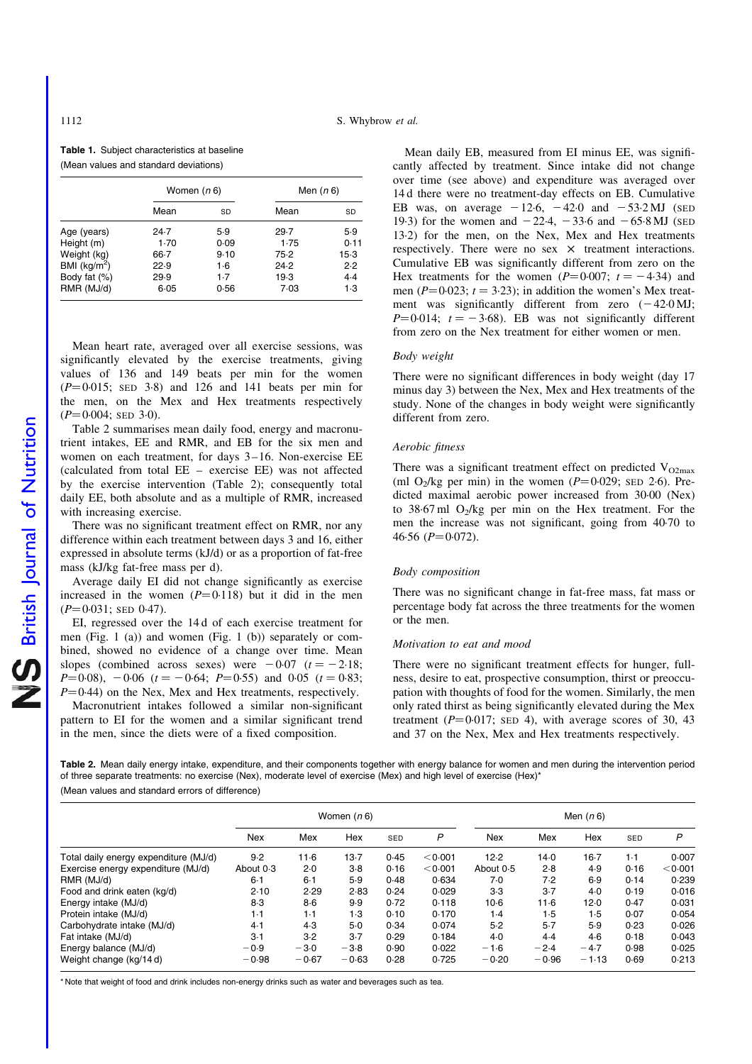Table 1. Subject characteristics at baseline (Mean values and standard deviations)

|                 | Women ( <i>n</i> 6) |           | Men ( <i>n</i> 6) |        |  |  |
|-----------------|---------------------|-----------|-------------------|--------|--|--|
|                 | Mean                | <b>SD</b> | Mean              | SD     |  |  |
| Age (years)     | 24.7                | 5.9       | 29.7              | 5.9    |  |  |
| Height (m)      | $1-70$              | 0.09      | 1.75              | 0.11   |  |  |
| Weight (kg)     | 66.7                | 9.10      | 75.2              | $15-3$ |  |  |
| BMI $(kg/m2)$   | 22.9                | 1·6       | 24.2              | 2.2    |  |  |
| Body fat $(\%)$ | 29.9                | $1-7$     | 19.3              | 4.4    |  |  |
| RMR (MJ/d)      | $6 - 05$            | 0.56      | 7.03              | $1-3$  |  |  |

Mean heart rate, averaged over all exercise sessions, was significantly elevated by the exercise treatments, giving values of 136 and 149 beats per min for the women  $(P=0.015;$  SED 3.8) and 126 and 141 beats per min for the men, on the Mex and Hex treatments respectively  $(P=0.004;$  SED 3.0).

Table 2 summarises mean daily food, energy and macronutrient intakes, EE and RMR, and EB for the six men and women on each treatment, for days 3–16. Non-exercise EE (calculated from total EE – exercise EE) was not affected by the exercise intervention (Table 2); consequently total daily EE, both absolute and as a multiple of RMR, increased with increasing exercise.

There was no significant treatment effect on RMR, nor any difference within each treatment between days 3 and 16, either expressed in absolute terms (kJ/d) or as a proportion of fat-free mass (kJ/kg fat-free mass per d).

Average daily EI did not change significantly as exercise increased in the women  $(P=0.118)$  but it did in the men  $(P=0.031;$  SED 0.47).

EI, regressed over the 14 d of each exercise treatment for men (Fig. 1 (a)) and women (Fig. 1 (b)) separately or combined, showed no evidence of a change over time. Mean slopes (combined across sexes) were  $-0.07$  ( $t = -2.18$ ;  $P=0.08$ ,  $-0.06$  ( $t = -0.64$ ;  $P=0.55$ ) and 0.05 ( $t = 0.83$ ;  $P=0.44$ ) on the Nex, Mex and Hex treatments, respectively.

Macronutrient intakes followed a similar non-significant pattern to EI for the women and a similar significant trend in the men, since the diets were of a fixed composition.

Mean daily EB, measured from EI minus EE, was significantly affected by treatment. Since intake did not change over time (see above) and expenditure was averaged over 14 d there were no treatment-day effects on EB. Cumulative EB was, on average  $-12.6$ ,  $-42.0$  and  $-53.2$  MJ (SED 19·3) for the women and  $-22.4$ ,  $-33.6$  and  $-65.8$  MJ (SED 13·2) for the men, on the Nex, Mex and Hex treatments respectively. There were no sex  $\times$  treatment interactions. Cumulative EB was significantly different from zero on the Hex treatments for the women  $(P=0.007; t = -4.34)$  and men ( $P=0.023$ ;  $t = 3.23$ ); in addition the women's Mex treatment was significantly different from zero  $(-42.0 \,\mathrm{MJ})$ ;  $P=0.014$ ;  $t = -3.68$ ). EB was not significantly different from zero on the Nex treatment for either women or men.

#### Body weight

There were no significant differences in body weight (day 17 minus day 3) between the Nex, Mex and Hex treatments of the study. None of the changes in body weight were significantly different from zero.

#### Aerobic fitness

There was a significant treatment effect on predicted  $V_{O2max}$ (ml  $O_2$ /kg per min) in the women ( $P=0.029$ ; SED 2·6). Predicted maximal aerobic power increased from 30·00 (Nex) to 38.67 ml  $O_2$ /kg per min on the Hex treatment. For the men the increase was not significant, going from 40·70 to 46.56  $(P=0.072)$ .

#### Body composition

There was no significant change in fat-free mass, fat mass or percentage body fat across the three treatments for the women or the men.

# Motivation to eat and mood

There were no significant treatment effects for hunger, fullness, desire to eat, prospective consumption, thirst or preoccupation with thoughts of food for the women. Similarly, the men only rated thirst as being significantly elevated during the Mex treatment  $(P=0.017;$  SED 4), with average scores of 30, 43 and 37 on the Nex, Mex and Hex treatments respectively.

Table 2. Mean daily energy intake, expenditure, and their components together with energy balance for women and men during the intervention period of three separate treatments: no exercise (Nex), moderate level of exercise (Mex) and high level of exercise (Hex)\* (Mean values and standard errors of difference)

|                                       | Women $(n 6)$ |         |         |      | Men $(n 6)$ |            |         |          |       |         |
|---------------------------------------|---------------|---------|---------|------|-------------|------------|---------|----------|-------|---------|
|                                       | <b>Nex</b>    | Mex     | Hex     | SED  | P           | <b>Nex</b> | Mex     | Hex      | SED   | P       |
| Total daily energy expenditure (MJ/d) | 9.2           | $11-6$  | $13-7$  | 0.45 | < 0.001     | 12.2       | 14.0    | $16-7$   | $1-1$ | 0.007   |
| Exercise energy expenditure (MJ/d)    | About 0.3     | 2.0     | $3-8$   | 0.16 | < 0.001     | About 0.5  | 2.8     | 4.9      | 0.16  | < 0.001 |
| RMR (MJ/d)                            | 6·1           | $6-1$   | 5.9     | 0.48 | 0.634       | 7.0        | 7.2     | 6.9      | 0.14  | 0.239   |
| Food and drink eaten (kg/d)           | 2.10          | 2.29    | 2.83    | 0.24 | 0.029       | $3-3$      | $3-7$   | $4-0$    | 0.19  | 0.016   |
| Energy intake (MJ/d)                  | $8-3$         | $8-6$   | 9.9     | 0.72 | 0.118       | $10-6$     | 11.6    | $12 - 0$ | 0.47  | 0.031   |
| Protein intake (MJ/d)                 | $1-1$         | $1-1$   | 1.3     | 0.10 | 0.170       | 1.4        | 1.5     | 1.5      | 0.07  | 0.054   |
| Carbohydrate intake (MJ/d)            | 4.1           | 4.3     | 5.0     | 0.34 | 0.074       | 5.2        | $5-7$   | 5.9      | 0.23  | 0.026   |
| Fat intake (MJ/d)                     | $3-1$         | 3.2     | $3-7$   | 0.29 | 0.184       | $4-0$      | 4.4     | 4.6      | 0.18  | 0.043   |
| Energy balance (MJ/d)                 | $-0.9$        | $-3.0$  | $-3.8$  | 0.90 | 0.022       | $-1.6$     | $-2.4$  | $-4.7$   | 0.98  | 0.025   |
| Weight change (kg/14d)                | $-0.98$       | $-0.67$ | $-0.63$ | 0.28 | 0.725       | $-0.20$    | $-0.96$ | $-1.13$  | 0.69  | 0.213   |

\* Note that weight of food and drink includes non-energy drinks such as water and beverages such as tea.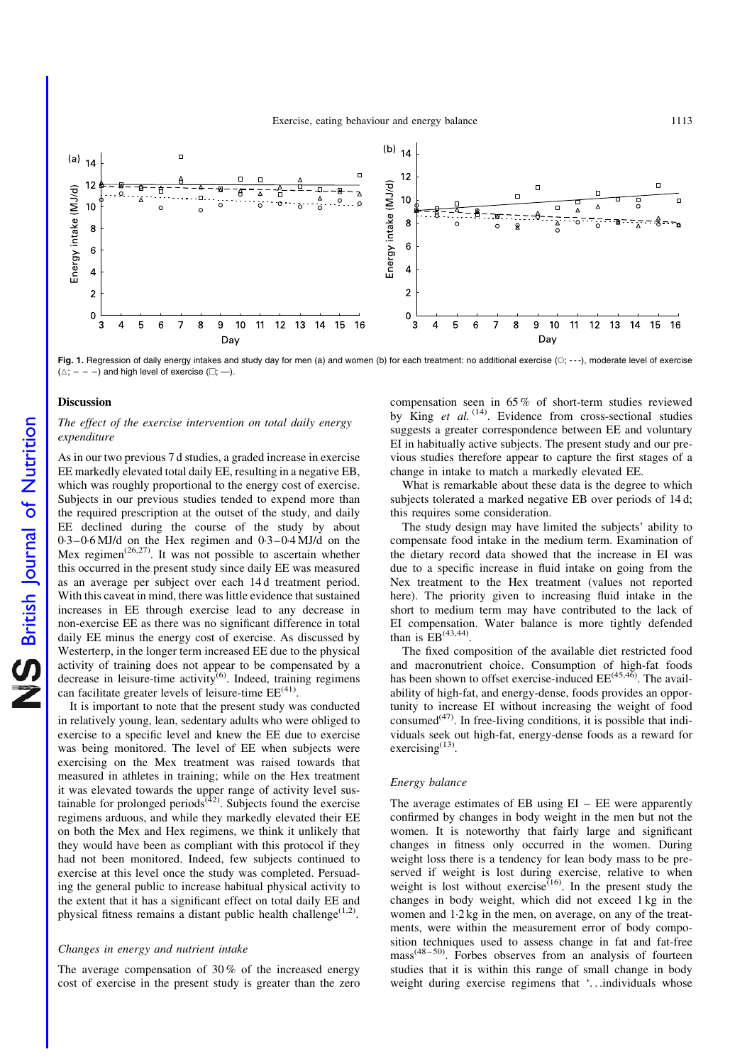

Fig. 1. Regression of daily energy intakes and study day for men (a) and women (b) for each treatment: no additional exercise (O; ---), moderate level of exercise  $(\triangle; - - -)$  and high level of exercise  $(\square; -)$ .

#### Discussion

# The effect of the exercise intervention on total daily energy expenditure

As in our two previous 7 d studies, a graded increase in exercise EE markedly elevated total daily EE, resulting in a negative EB, which was roughly proportional to the energy cost of exercise. Subjects in our previous studies tended to expend more than the required prescription at the outset of the study, and daily EE declined during the course of the study by about 0·3–0·6 MJ/d on the Hex regimen and 0·3–0·4 MJ/d on the Mex regimen<sup> $(26,27)$ </sup>. It was not possible to ascertain whether this occurred in the present study since daily EE was measured as an average per subject over each 14 d treatment period. With this caveat in mind, there was little evidence that sustained increases in EE through exercise lead to any decrease in non-exercise EE as there was no significant difference in total daily EE minus the energy cost of exercise. As discussed by Westerterp, in the longer term increased EE due to the physical activity of training does not appear to be compensated by a decrease in leisure-time activity<sup>(6)</sup>. Indeed, training regimens can facilitate greater levels of leisure-time  $EE^{(41)}$ .

It is important to note that the present study was conducted in relatively young, lean, sedentary adults who were obliged to exercise to a specific level and knew the EE due to exercise was being monitored. The level of EE when subjects were exercising on the Mex treatment was raised towards that measured in athletes in training; while on the Hex treatment it was elevated towards the upper range of activity level sustainable for prolonged periods<sup> $(42)$ </sup>. Subjects found the exercise regimens arduous, and while they markedly elevated their EE on both the Mex and Hex regimens, we think it unlikely that they would have been as compliant with this protocol if they had not been monitored. Indeed, few subjects continued to exercise at this level once the study was completed. Persuading the general public to increase habitual physical activity to the extent that it has a significant effect on total daily EE and physical fitness remains a distant public health challenge<sup> $(1,2)$ </sup>.

#### Changes in energy and nutrient intake

The average compensation of 30 % of the increased energy cost of exercise in the present study is greater than the zero compensation seen in 65 % of short-term studies reviewed by King et al.  $(14)$ . Evidence from cross-sectional studies suggests a greater correspondence between EE and voluntary EI in habitually active subjects. The present study and our previous studies therefore appear to capture the first stages of a change in intake to match a markedly elevated EE.

What is remarkable about these data is the degree to which subjects tolerated a marked negative EB over periods of 14 d; this requires some consideration.

The study design may have limited the subjects' ability to compensate food intake in the medium term. Examination of the dietary record data showed that the increase in EI was due to a specific increase in fluid intake on going from the Nex treatment to the Hex treatment (values not reported here). The priority given to increasing fluid intake in the short to medium term may have contributed to the lack of EI compensation. Water balance is more tightly defended than is  $EB^{(43,44)}$ .

The fixed composition of the available diet restricted food and macronutrient choice. Consumption of high-fat foods has been shown to offset exercise-induced  $EE^{(45,46)}$ . The availability of high-fat, and energy-dense, foods provides an opportunity to increase EI without increasing the weight of food consumed $(47)$ . In free-living conditions, it is possible that individuals seek out high-fat, energy-dense foods as a reward for exercising<sup>(13)</sup>.

#### Energy balance

The average estimates of EB using  $EI - EE$  were apparently confirmed by changes in body weight in the men but not the women. It is noteworthy that fairly large and significant changes in fitness only occurred in the women. During weight loss there is a tendency for lean body mass to be preserved if weight is lost during exercise, relative to when weight is lost without exercise<sup> $(16)$ </sup>. In the present study the changes in body weight, which did not exceed 1 kg in the women and 1·2 kg in the men, on average, on any of the treatments, were within the measurement error of body composition techniques used to assess change in fat and fat-free  $mass<sup>(48-50)</sup>$ . Forbes observes from an analysis of fourteen studies that it is within this range of small change in body weight during exercise regimens that '...individuals whose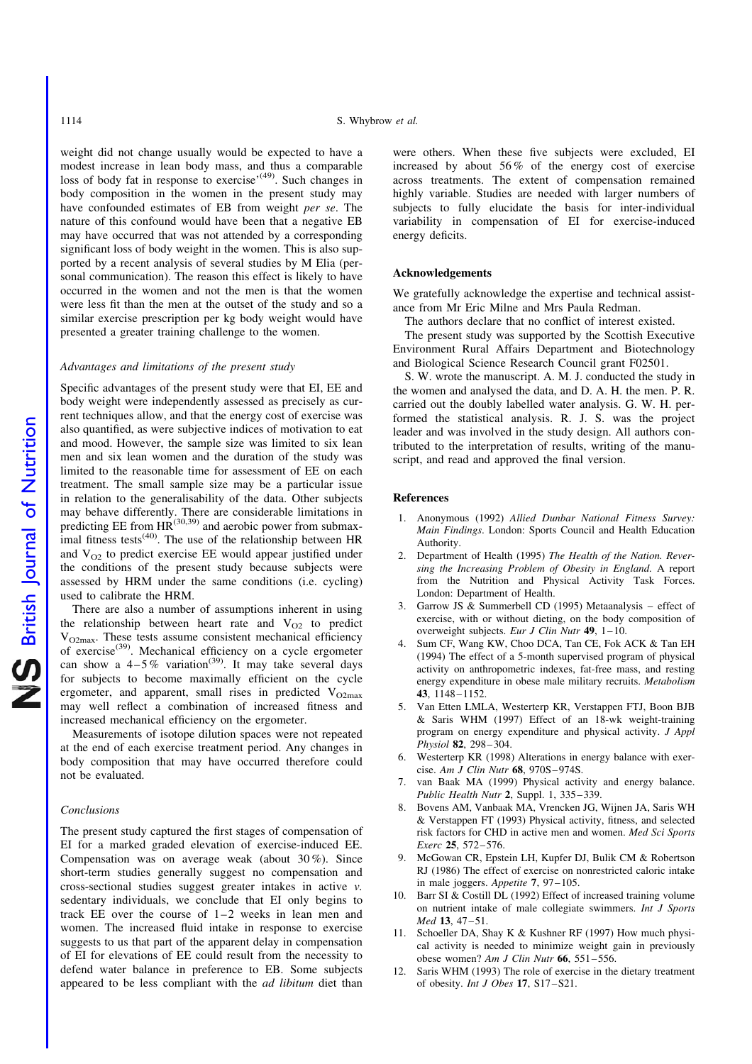weight did not change usually would be expected to have a modest increase in lean body mass, and thus a comparable loss of body fat in response to exercise<sup>'(49)</sup>. Such changes in body composition in the women in the present study may have confounded estimates of EB from weight per se. The nature of this confound would have been that a negative EB may have occurred that was not attended by a corresponding significant loss of body weight in the women. This is also supported by a recent analysis of several studies by M Elia (personal communication). The reason this effect is likely to have occurred in the women and not the men is that the women were less fit than the men at the outset of the study and so a similar exercise prescription per kg body weight would have presented a greater training challenge to the women.

# Advantages and limitations of the present study

Specific advantages of the present study were that EI, EE and body weight were independently assessed as precisely as current techniques allow, and that the energy cost of exercise was also quantified, as were subjective indices of motivation to eat and mood. However, the sample size was limited to six lean men and six lean women and the duration of the study was limited to the reasonable time for assessment of EE on each treatment. The small sample size may be a particular issue in relation to the generalisability of the data. Other subjects may behave differently. There are considerable limitations in predicting EE from  $HR^{(30,39)}$  and aerobic power from submaximal fitness tests<sup>(40)</sup>. The use of the relationship between HR and  $V_{O2}$  to predict exercise EE would appear justified under the conditions of the present study because subjects were assessed by HRM under the same conditions (i.e. cycling) used to calibrate the HRM.

There are also a number of assumptions inherent in using the relationship between heart rate and  $V_{O2}$  to predict  $V_{O2max}$ . These tests assume consistent mechanical efficiency of exercise<sup>(39)</sup>. Mechanical efficiency on a cycle ergometer can show a  $4-5\%$  variation<sup>(39)</sup>. It may take several days for subjects to become maximally efficient on the cycle ergometer, and apparent, small rises in predicted  $V_{O2max}$ may well reflect a combination of increased fitness and increased mechanical efficiency on the ergometer.

Measurements of isotope dilution spaces were not repeated at the end of each exercise treatment period. Any changes in body composition that may have occurred therefore could not be evaluated.

#### Conclusions

The present study captured the first stages of compensation of EI for a marked graded elevation of exercise-induced EE. Compensation was on average weak (about 30 %). Since short-term studies generally suggest no compensation and cross-sectional studies suggest greater intakes in active v. sedentary individuals, we conclude that EI only begins to track EE over the course of 1–2 weeks in lean men and women. The increased fluid intake in response to exercise suggests to us that part of the apparent delay in compensation of EI for elevations of EE could result from the necessity to defend water balance in preference to EB. Some subjects appeared to be less compliant with the ad libitum diet than

were others. When these five subjects were excluded, EI increased by about 56 % of the energy cost of exercise across treatments. The extent of compensation remained highly variable. Studies are needed with larger numbers of subjects to fully elucidate the basis for inter-individual variability in compensation of EI for exercise-induced energy deficits.

#### Acknowledgements

We gratefully acknowledge the expertise and technical assistance from Mr Eric Milne and Mrs Paula Redman.

The authors declare that no conflict of interest existed.

The present study was supported by the Scottish Executive Environment Rural Affairs Department and Biotechnology and Biological Science Research Council grant F02501.

S. W. wrote the manuscript. A. M. J. conducted the study in the women and analysed the data, and D. A. H. the men. P. R. carried out the doubly labelled water analysis. G. W. H. performed the statistical analysis. R. J. S. was the project leader and was involved in the study design. All authors contributed to the interpretation of results, writing of the manuscript, and read and approved the final version.

#### **References**

- 1. Anonymous (1992) Allied Dunbar National Fitness Survey: Main Findings. London: Sports Council and Health Education Authority.
- 2. Department of Health (1995) The Health of the Nation. Reversing the Increasing Problem of Obesity in England. A report from the Nutrition and Physical Activity Task Forces. London: Department of Health.
- 3. Garrow JS & Summerbell CD (1995) Metaanalysis effect of exercise, with or without dieting, on the body composition of overweight subjects. Eur J Clin Nutr 49, 1–10.
- 4. Sum CF, Wang KW, Choo DCA, Tan CE, Fok ACK & Tan EH (1994) The effect of a 5-month supervised program of physical activity on anthropometric indexes, fat-free mass, and resting energy expenditure in obese male military recruits. Metabolism 43, 1148–1152.
- 5. Van Etten LMLA, Westerterp KR, Verstappen FTJ, Boon BJB & Saris WHM (1997) Effect of an 18-wk weight-training program on energy expenditure and physical activity. J Appl Physiol 82, 298–304.
- 6. Westerterp KR (1998) Alterations in energy balance with exercise. Am J Clin Nutr 68, 970S–974S.
- 7. van Baak MA (1999) Physical activity and energy balance. Public Health Nutr 2, Suppl. 1, 335–339.
- 8. Bovens AM, Vanbaak MA, Vrencken JG, Wijnen JA, Saris WH & Verstappen FT (1993) Physical activity, fitness, and selected risk factors for CHD in active men and women. Med Sci Sports Exerc 25, 572–576.
- 9. McGowan CR, Epstein LH, Kupfer DJ, Bulik CM & Robertson RJ (1986) The effect of exercise on nonrestricted caloric intake in male joggers. Appetite 7, 97–105.
- 10. Barr SI & Costill DL (1992) Effect of increased training volume on nutrient intake of male collegiate swimmers. Int J Sports Med 13, 47–51.
- 11. Schoeller DA, Shay K & Kushner RF (1997) How much physical activity is needed to minimize weight gain in previously obese women? Am J Clin Nutr 66, 551–556.
- 12. Saris WHM (1993) The role of exercise in the dietary treatment of obesity. Int J Obes 17, S17–S21.